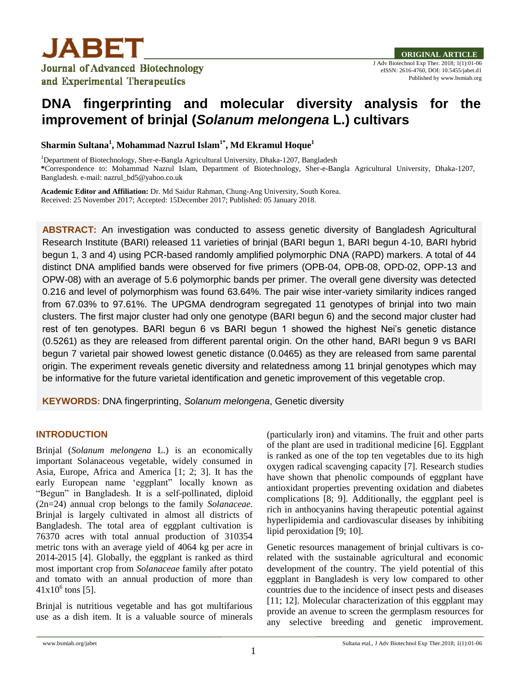

# **DNA fingerprinting and molecular diversity analysis for the improvement of brinjal (***Solanum melongena* **L.) cultivars**

**Sharmin Sultana<sup>1</sup> , Mohammad Nazrul Islam1\* , Md Ekramul Hoque<sup>1</sup>**

<sup>1</sup>Department of Biotechnology, Sher-e-Bangla Agricultural University, Dhaka-1207, Bangladesh **\***Correspondence to: Mohammad Nazrul Islam, Department of Biotechnology, Sher-e-Bangla Agricultural University, Dhaka-1207, Bangladesh. e-mail: nazrul\_bd5@yahoo.co.uk

**Academic Editor and Affiliation:** Dr. Md Saidur Rahman, Chung-Ang University, South Korea. Received: 25 November 2017; Accepted: 15December 2017; Published: 05 January 2018.

**ABSTRACT:** An investigation was conducted to assess genetic diversity of Bangladesh Agricultural Research Institute (BARI) released 11 varieties of brinjal (BARI begun 1, BARI begun 4-10, BARI hybrid begun 1, 3 and 4) using PCR-based randomly amplified polymorphic DNA (RAPD) markers. A total of 44 distinct DNA amplified bands were observed for five primers (OPB-04, OPB-08, OPD-02, OPP-13 and OPW-08) with an average of 5.6 polymorphic bands per primer. The overall gene diversity was detected 0.216 and level of polymorphism was found 63.64%. The pair wise inter-variety similarity indices ranged from 67.03% to 97.61%. The UPGMA dendrogram segregated 11 genotypes of brinjal into two main clusters. The first major cluster had only one genotype (BARI begun 6) and the second major cluster had rest of ten genotypes. BARI begun 6 vs BARI begun 1 showed the highest Nei's genetic distance (0.5261) as they are released from different parental origin. On the other hand, BARI begun 9 vs BARI begun 7 varietal pair showed lowest genetic distance (0.0465) as they are released from same parental origin. The experiment reveals genetic diversity and relatedness among 11 brinjal genotypes which may be informative for the future varietal identification and genetic improvement of this vegetable crop.

**KEYWORDS:** DNA fingerprinting, *Solanum melongena*, Genetic diversity

# **INTRODUCTION**

Brinjal (*Solanum melongena* L.) is an economically important Solanaceous vegetable, widely consumed in Asia, Europe, Africa and America [1; 2; 3]. It has the early European name "eggplant" locally known as "Begun" in Bangladesh. It is a self-pollinated, diploid (2n=24) annual crop belongs to the family *Solanaceae*. Brinjal is largely cultivated in almost all districts of Bangladesh. The total area of eggplant cultivation is 76370 acres with total annual production of 310354 metric tons with an average yield of 4064 kg per acre in 2014-2015 [4]. Globally, the eggplant is ranked as third most important crop from *Solanaceae* family after potato and tomato with an annual production of more than  $41x10^6$  tons [5].

Brinjal is nutritious vegetable and has got multifarious use as a dish item. It is a valuable source of minerals (particularly iron) and vitamins. The fruit and other parts of the plant are used in traditional medicine [6]. Eggplant is ranked as one of the top ten vegetables due to its high oxygen radical scavenging capacity [7]. Research studies have shown that phenolic compounds of eggplant have antioxidant properties preventing oxidation and diabetes complications [8; 9]. Additionally, the eggplant peel is rich in anthocyanins having therapeutic potential against hyperlipidemia and cardiovascular diseases by inhibiting lipid peroxidation [9; 10].

Genetic resources management of brinjal cultivars is corelated with the sustainable agricultural and economic development of the country. The yield potential of this eggplant in Bangladesh is very low compared to other countries due to the incidence of insect pests and diseases [11; 12]. Molecular characterization of this eggplant may provide an avenue to screen the germplasm resources for any selective breeding and genetic improvement.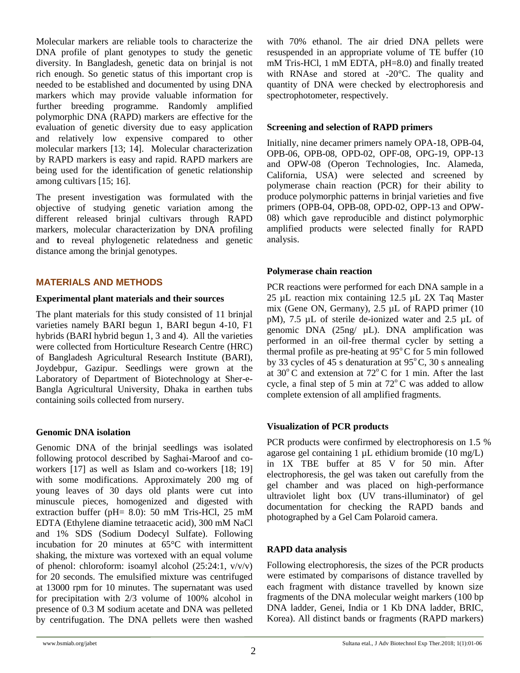Molecular markers are reliable tools to characterize the DNA profile of plant genotypes to study the genetic diversity. In Bangladesh, genetic data on brinjal is not rich enough. So genetic status of this important crop is needed to be established and documented by using DNA markers which may provide valuable information for further breeding programme. Randomly amplified polymorphic DNA (RAPD) markers are effective for the evaluation of genetic diversity due to easy application and relatively low expensive compared to other molecular markers [13; 14]. Molecular characterization by RAPD markers is easy and rapid. RAPD markers are being used for the identification of genetic relationship among cultivars [15; 16].

The present investigation was formulated with the objective of studying genetic variation among the different released brinjal cultivars through RAPD markers, molecular characterization by DNA profiling and **t**o reveal phylogenetic relatedness and genetic distance among the brinjal genotypes.

## **MATERIALS AND METHODS**

## **Experimental plant materials and their sources**

The plant materials for this study consisted of 11 brinjal varieties namely BARI begun 1, BARI begun 4-10, F1 hybrids (BARI hybrid begun 1, 3 and 4). All the varieties were collected from Horticulture Research Centre (HRC) of Bangladesh Agricultural Research Institute (BARI), Joydebpur, Gazipur. Seedlings were grown at the Laboratory of Department of Biotechnology at Sher-e-Bangla Agricultural University, Dhaka in earthen tubs containing soils collected from nursery.

# **Genomic DNA isolation**

Genomic DNA of the brinjal seedlings was isolated following protocol described by Saghai-Maroof and coworkers [17] as well as Islam and co-workers [18; 19] with some modifications. Approximately 200 mg of young leaves of 30 days old plants were cut into minuscule pieces, homogenized and digested with extraction buffer (pH= 8.0): 50 mM Tris-HCl, 25 mM EDTA (Ethylene diamine tetraacetic acid), 300 mM NaCl and 1% SDS (Sodium Dodecyl Sulfate). Following incubation for 20 minutes at 65°C with intermittent shaking, the mixture was vortexed with an equal volume of phenol: chloroform: isoamyl alcohol (25:24:1, v/v/v) for 20 seconds. The emulsified mixture was centrifuged at 13000 rpm for 10 minutes. The supernatant was used for precipitation with 2/3 volume of 100% alcohol in presence of 0.3 M sodium acetate and DNA was pelleted by centrifugation. The DNA pellets were then washed with 70% ethanol. The air dried DNA pellets were resuspended in an appropriate volume of TE buffer (10 mM Tris-HCl, 1 mM EDTA, pH=8.0) and finally treated with RNAse and stored at -20°C. The quality and quantity of DNA were checked by electrophoresis and spectrophotometer, respectively.

# **Screening and selection of RAPD primers**

Initially, nine decamer primers namely OPA-18, OPB-04, OPB-06, OPB-08, OPD-02, OPF-08, OPG-19, OPP-13 and OPW-08 (Operon Technologies, Inc. Alameda, California, USA) were selected and screened by polymerase chain reaction (PCR) for their ability to produce polymorphic patterns in brinjal varieties and five primers (OPB-04, OPB-08, OPD-02, OPP-13 and OPW-08) which gave reproducible and distinct polymorphic amplified products were selected finally for RAPD analysis.

# **Polymerase chain reaction**

PCR reactions were performed for each DNA sample in a 25 µL reaction mix containing 12.5 µL 2X Taq Master mix (Gene ON, Germany), 2.5 µL of RAPD primer (10 pM), 7.5 µL of sterile de-ionized water and 2.5 µL of genomic DNA (25ng/ µL). DNA amplification was performed in an oil-free thermal cycler by setting a thermal profile as pre-heating at  $95^{\circ}$ C for 5 min followed by 33 cycles of 45 s denaturation at  $95^{\circ}$ C, 30 s annealing at  $30^{\circ}$ C and extension at  $72^{\circ}$ C for 1 min. After the last cycle, a final step of 5 min at  $72^{\circ}$ C was added to allow complete extension of all amplified fragments.

# **Visualization of PCR products**

PCR products were confirmed by electrophoresis on 1.5 % agarose gel containing  $1 \mu$ L ethidium bromide (10 mg/L) in 1X TBE buffer at 85 V for 50 min. After electrophoresis, the gel was taken out carefully from the gel chamber and was placed on high-performance ultraviolet light box (UV trans-illuminator) of gel documentation for checking the RAPD bands and photographed by a Gel Cam Polaroid camera.

# **RAPD data analysis**

Following electrophoresis, the sizes of the PCR products were estimated by comparisons of distance travelled by each fragment with distance travelled by known size fragments of the DNA molecular weight markers (100 bp DNA ladder, Genei, India or 1 Kb DNA ladder, BRIC, Korea). All distinct bands or fragments (RAPD markers)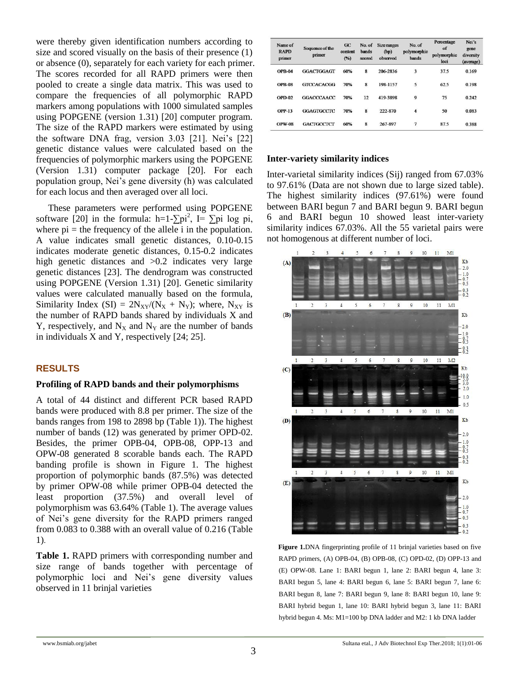were thereby given identification numbers according to size and scored visually on the basis of their presence (1) or absence (0), separately for each variety for each primer. The scores recorded for all RAPD primers were then pooled to create a single data matrix. This was used to compare the frequencies of all polymorphic RAPD markers among populations with 1000 simulated samples using POPGENE (version 1.31) [20] computer program. The size of the RAPD markers were estimated by using the software DNA frag, version 3.03 [21]. Nei"s [22] genetic distance values were calculated based on the frequencies of polymorphic markers using the POPGENE (Version 1.31) computer package [20]. For each population group, Nei"s gene diversity (h) was calculated for each locus and then averaged over all loci.

These parameters were performed using POPGENE software [20] in the formula: h=1- $\sum pi^2$ , I=  $\sum pi \log pi$ , where  $pi =$  the frequency of the allele i in the population. A value indicates small genetic distances, 0.10-0.15 indicates moderate genetic distances, 0.15-0.2 indicates high genetic distances and  $>0.2$  indicates very large genetic distances [23]. The dendrogram was constructed using POPGENE (Version 1.31) [20]. Genetic similarity values were calculated manually based on the formula, Similarity Index (SI) =  $2N_{XY}/(N_X + N_Y)$ ; where,  $N_{XY}$  is the number of RAPD bands shared by individuals X and Y, respectively, and  $N_X$  and  $N_Y$  are the number of bands in individuals X and Y, respectively [24; 25].

## **RESULTS**

#### **Profiling of RAPD bands and their polymorphisms**

A total of 44 distinct and different PCR based RAPD bands were produced with 8.8 per primer. The size of the bands ranges from 198 to 2898 bp (Table 1)). The highest number of bands (12) was generated by primer OPD-02. Besides, the primer OPB-04, OPB-08, OPP-13 and OPW-08 generated 8 scorable bands each. The RAPD banding profile is shown in Figure 1. The highest proportion of polymorphic bands (87.5%) was detected by primer OPW-08 while primer OPB-04 detected the least proportion (37.5%) and overall level of polymorphism was 63.64% (Table 1). The average values of Nei"s gene diversity for the RAPD primers ranged from 0.083 to 0.388 with an overall value of 0.216 (Table 1).

**Table 1.** RAPD primers with corresponding number and size range of bands together with percentage of polymorphic loci and Nei"s gene diversity values observed in 11 brinjal varieties

| Name of<br><b>RAPD</b><br>primer | Sequence of the<br>primer | $G$ C<br>content<br>(%) | No. of<br>bands<br>scored | Size ranges<br>(bp)<br>observed | No. of<br>polymorphic<br>bands | Percentage<br>of<br>polymorphic<br>loci | Nei's<br>gene<br>diversity<br>(average) |
|----------------------------------|---------------------------|-------------------------|---------------------------|---------------------------------|--------------------------------|-----------------------------------------|-----------------------------------------|
| <b>OPB-04</b>                    | <b>GGACTGGAGT</b>         | 60%                     | 8                         | 206-2836                        | 3                              | 37.5                                    | 0.169                                   |
| <b>OPB-08</b>                    | <b>GTCCACACGG</b>         | 70%                     | 8                         | 198-1157                        | 5                              | 62.5                                    | 0.198                                   |
| $OPD-02$                         | <b>GGACCCAACC</b>         | 70%                     | 12                        | 419-3898                        | 9                              | 75                                      | 0.242                                   |
| <b>OPP-13</b>                    | GGAGTGCCTC                | 70%                     | 8                         | 222-870                         | $\overline{\bf{4}}$            | 50                                      | 0.083                                   |
| <b>OPW-08</b>                    | <b>GACTGCCTCT</b>         | 60%                     | 8                         | 267-897                         |                                | 87.5                                    | 0.388                                   |

## **Inter-variety similarity indices**

Inter-varietal similarity indices (Sij) ranged from 67.03% to 97.61% (Data are not shown due to large sized table). The highest similarity indices (97.61%) were found between BARI begun 7 and BARI begun 9. BARI begun 6 and BARI begun 10 showed least inter-variety similarity indices 67.03%. All the 55 varietal pairs were not homogenous at different number of loci.



**Figure 1.**DNA fingerprinting profile of 11 brinjal varieties based on five RAPD primers, (A) OPB-04, (B) OPB-08, (C) OPD-02, (D) OPP-13 and (E) OPW-08. Lane 1: BARI begun 1, lane 2: BARI begun 4, lane 3: BARI begun 5, lane 4: BARI begun 6, lane 5: BARI begun 7, lane 6: BARI begun 8, lane 7: BARI begun 9, lane 8: BARI begun 10, lane 9: BARI hybrid begun 1, lane 10: BARI hybrid begun 3, lane 11: BARI hybrid begun 4. Ms: M1=100 bp DNA ladder and M2: 1 kb DNA ladder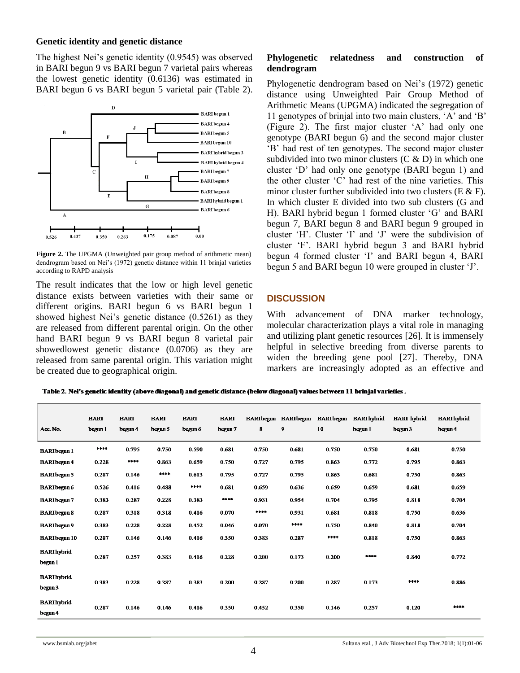## **Genetic identity and genetic distance**

The highest Nei"s genetic identity (0.9545) was observed in BARI begun 9 vs BARI begun 7 varietal pairs whereas the lowest genetic identity (0.6136) was estimated in BARI begun 6 vs BARI begun 5 varietal pair (Table 2).



**Figure 2.** The UPGMA (Unweighted pair group method of arithmetic mean) dendrogram based on Nei"s (1972) genetic distance within 11 brinjal varieties according to RAPD analysis

The result indicates that the low or high level genetic distance exists between varieties with their same or different origins. BARI begun 6 vs BARI begun 1 showed highest Nei's genetic distance (0.5261) as they are released from different parental origin. On the other hand BARI begun 9 vs BARI begun 8 varietal pair showedlowest genetic distance (0.0706) as they are released from same parental origin. This variation might be created due to geographical origin.

## **Phylogenetic relatedness and construction of dendrogram**

Phylogenetic dendrogram based on Nei's (1972) genetic distance using Unweighted Pair Group Method of Arithmetic Means (UPGMA) indicated the segregation of 11 genotypes of brinjal into two main clusters, "A" and "B" (Figure 2). The first major cluster "A" had only one genotype (BARI begun 6) and the second major cluster "B" had rest of ten genotypes. The second major cluster subdivided into two minor clusters  $(C & D)$  in which one cluster "D" had only one genotype (BARI begun 1) and the other cluster "C" had rest of the nine varieties. This minor cluster further subdivided into two clusters  $(E \& E)$ . In which cluster E divided into two sub clusters (G and H). BARI hybrid begun 1 formed cluster "G" and BARI begun 7, BARI begun 8 and BARI begun 9 grouped in cluster "H". Cluster "I" and "J" were the subdivision of cluster "F". BARI hybrid begun 3 and BARI hybrid begun 4 formed cluster 'I' and BARI begun 4, BARI begun 5 and BARI begun 10 were grouped in cluster 'J'.

#### **DISCUSSION**

With advancement of DNA marker technology, molecular characterization plays a vital role in managing and utilizing plant genetic resources [26]. It is immensely helpful in selective breeding from diverse parents to widen the breeding gene pool [27]. Thereby, DNA markers are increasingly adopted as an effective and

Table 2. Nei's genetic identity (above diagonal) and genetic distance (below diagonal) values between 11 brinjal varieties.

| Acc. No.                      | <b>BARI</b><br>begun 1 | <b>BARI</b><br>begun 4 | <b>BARI</b><br>begun 5 | <b>BARI</b><br>begun 6 | <b>BARI</b><br>begun 7 | <b>BARI</b> begun<br>8 | <b>BARIbegin</b><br>$\mathbf{9}$ | <b>BARI</b> begun<br>10 | <b>BARI</b> hybrid<br>begun 1 | <b>BARI</b> hvbrid<br>begun 3 | <b>BARI</b> hybrid<br>begun 4 |
|-------------------------------|------------------------|------------------------|------------------------|------------------------|------------------------|------------------------|----------------------------------|-------------------------|-------------------------------|-------------------------------|-------------------------------|
| <b>BARIbegun 1</b>            | ****                   | 0.795                  | 0.750                  | 0.590                  | 0.681                  | 0.750                  | 0.681                            | 0.750                   | 0.750                         | 0.681                         | 0.750                         |
| <b>BARIbegun4</b>             | 0.228                  | $****$                 | 0.863                  | 0.659                  | 0.750                  | 0.727                  | 0.795                            | 0.863                   | 0.772                         | 0.795                         | 0.863                         |
| <b>BARIbegun 5</b>            | 0.287                  | 0.146                  | ****                   | 0.613                  | 0.795                  | 0.727                  | 0.795                            | 0.863                   | 0.681                         | 0.750                         | 0.863                         |
| <b>BARIbegun 6</b>            | 0.526                  | 0.416                  | 0.488                  | ****                   | 0.681                  | 0.659                  | 0.636                            | 0.659                   | 0.659                         | 0.681                         | 0.659                         |
| <b>BARIbegun7</b>             | 0.383                  | 0.287                  | 0.228                  | 0.383                  | $****$                 | 0.931                  | 0.954                            | 0.704                   | 0.795                         | 0.818                         | 0.704                         |
| <b>BARIbegun 8</b>            | 0.287                  | 0.318                  | 0.318                  | 0.416                  | 0.070                  | ****                   | 0.931                            | 0.681                   | 0.818                         | 0.750                         | 0.636                         |
| <b>BARIbegin9</b>             | 0.383                  | 0.228                  | 0.228                  | 0.452                  | 0.046                  | 0.070                  | ****                             | 0.750                   | 0.840                         | 0.818                         | 0.704                         |
| <b>BARIbegin 10</b>           | 0.287                  | 0.146                  | 0.146                  | 0.416                  | 0.350                  | 0.383                  | 0.287                            | ****                    | 0.818                         | 0.750                         | 0.863                         |
| <b>BARI</b> hybrid<br>begun 1 | 0.287                  | 0.257                  | 0.383                  | 0.416                  | 0.228                  | 0.200                  | 0.173                            | 0.200                   | ****                          | 0.840                         | 0.772                         |
| <b>BARI</b> hybrid<br>begun 3 | 0.383                  | 0.228                  | 0.287                  | 0.383                  | 0.200                  | 0.287                  | 0.200                            | 0.287                   | 0.173                         | ****                          | 0.886                         |
| <b>BARI</b> hybrid<br>begun 4 | 0.287                  | 0.146                  | 0.146                  | 0.416                  | 0.350                  | 0.452                  | 0.350                            | 0.146                   | 0.257                         | 0.120                         | ****                          |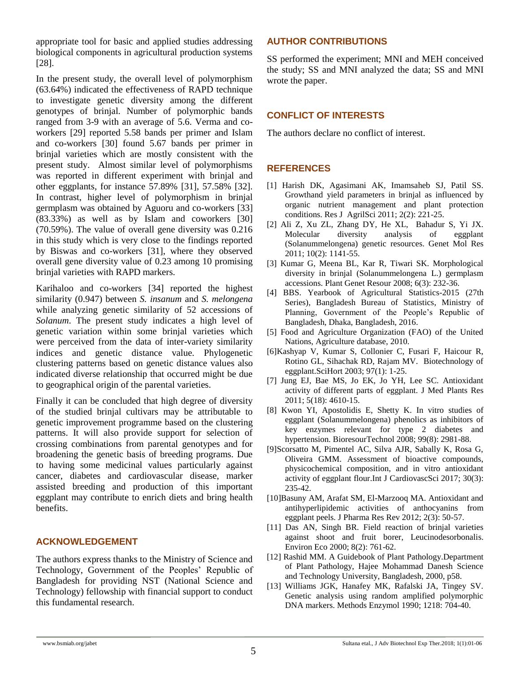appropriate tool for basic and applied studies addressing biological components in agricultural production systems [28].

In the present study, the overall level of polymorphism (63.64%) indicated the effectiveness of RAPD technique to investigate genetic diversity among the different genotypes of brinjal. Number of polymorphic bands ranged from 3-9 with an average of 5.6. Verma and coworkers [29] reported 5.58 bands per primer and Islam and co-workers [30] found 5.67 bands per primer in brinjal varieties which are mostly consistent with the present study. Almost similar level of polymorphisms was reported in different experiment with brinjal and other eggplants, for instance 57.89% [31], 57.58% [32]. In contrast, higher level of polymorphism in brinjal germplasm was obtained by Aguoru and co-workers [33] (83.33%) as well as by Islam and coworkers [30] (70.59%). The value of overall gene diversity was 0.216 in this study which is very close to the findings reported by Biswas and co-workers [31], where they observed overall gene diversity value of 0.23 among 10 promising brinjal varieties with RAPD markers.

Karihaloo and co-workers [34] reported the highest similarity (0.947) between *S. insanum* and *S. melongena* while analyzing genetic similarity of 52 accessions of *Solanum*. The present study indicates a high level of genetic variation within some brinjal varieties which were perceived from the data of inter-variety similarity indices and genetic distance value. Phylogenetic clustering patterns based on genetic distance values also indicated diverse relationship that occurred might be due to geographical origin of the parental varieties.

Finally it can be concluded that high degree of diversity of the studied brinjal cultivars may be attributable to genetic improvement programme based on the clustering patterns. It will also provide support for selection of crossing combinations from parental genotypes and for broadening the genetic basis of breeding programs. Due to having some medicinal values particularly against cancer, diabetes and cardiovascular disease, marker assisted breeding and production of this important eggplant may contribute to enrich diets and bring health benefits.

## **ACKNOWLEDGEMENT**

The authors express thanks to the Ministry of Science and Technology, Government of the Peoples" Republic of Bangladesh for providing NST (National Science and Technology) fellowship with financial support to conduct this fundamental research.

# **AUTHOR CONTRIBUTIONS**

SS performed the experiment; MNI and MEH conceived the study; SS and MNI analyzed the data; SS and MNI wrote the paper.

# **CONFLICT OF INTERESTS**

The authors declare no conflict of interest.

## **REFERENCES**

- [1] Harish DK, Agasimani AK, Imamsaheb SJ, Patil SS. Growthand yield parameters in brinjal as influenced by organic nutrient management and plant protection conditions. Res J AgrilSci 2011; 2(2): 221-25.
- [2] Ali Z, Xu ZL, Zhang DY, He XL, Bahadur S, Yi JX. Molecular diversity analysis of eggplant (Solanummelongena) genetic resources. Genet Mol Res 2011; 10(2): 1141-55.
- [3] Kumar G, Meena BL, Kar R, Tiwari SK. Morphological diversity in brinjal (Solanummelongena L.) germplasm accessions. Plant Genet Resour 2008; 6(3): 232-36.
- [4] BBS. Yearbook of Agricultural Statistics-2015 (27th Series), Bangladesh Bureau of Statistics, Ministry of Planning, Government of the People's Republic of Bangladesh, Dhaka, Bangladesh, 2016.
- [5] Food and Agriculture Organization (FAO) of the United Nations, Agriculture database, 2010.
- [6]Kashyap V, Kumar S, Collonier C, Fusari F, Haicour R, Rotino GL, Sihachak RD, Rajam MV. Biotechnology of eggplant.SciHort 2003; 97(1): 1-25.
- [7] Jung EJ, Bae MS, Jo EK, Jo YH, Lee SC. Antioxidant activity of different parts of eggplant. J Med Plants Res 2011; 5(18): 4610-15.
- [8] Kwon YI, Apostolidis E, Shetty K. In vitro studies of eggplant (Solanummelongena) phenolics as inhibitors of key enzymes relevant for type 2 diabetes and hypertension. BioresourTechnol 2008; 99(8): 2981-88.
- [9]Scorsatto M, Pimentel AC, Silva AJR, Sabally K, Rosa G, Oliveira GMM. Assessment of bioactive compounds, physicochemical composition, and in vitro antioxidant activity of eggplant flour.Int J CardiovascSci 2017; 30(3): 235-42.
- [10]Basuny AM, Arafat SM, El-Marzooq MA. Antioxidant and antihyperlipidemic activities of anthocyanins from eggplant peels. J Pharma Res Rev 2012; 2(3): 50-57.
- [11] Das AN, Singh BR. Field reaction of brinjal varieties against shoot and fruit borer, Leucinodesorbonalis. Environ Eco 2000; 8(2): 761-62.
- [12] Rashid MM. A Guidebook of Plant Pathology.Department of Plant Pathology, Hajee Mohammad Danesh Science and Technology University, Bangladesh, 2000, p58.
- [13] Williams JGK, Hanafey MK, Rafalski JA, Tingey SV. Genetic analysis using random amplified polymorphic DNA markers. Methods Enzymol 1990; 1218: 704-40.